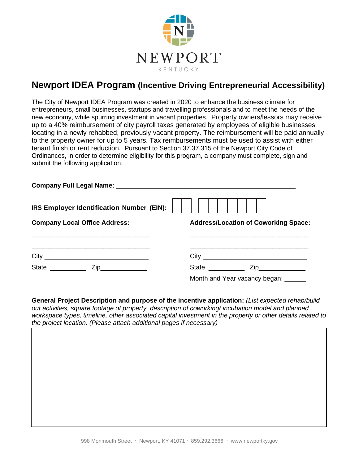

## **Newport IDEA Program (Incentive Driving Entrepreneurial Accessibility)**

The City of Newport IDEA Program was created in 2020 to enhance the business climate for entrepreneurs, small businesses, startups and travelling professionals and to meet the needs of the new economy, while spurring investment in vacant properties. Property owners/lessors may receive up to a 40% reimbursement of city payroll taxes generated by employees of eligible businesses locating in a newly rehabbed, previously vacant property. The reimbursement will be paid annually to the property owner for up to 5 years. Tax reimbursements must be used to assist with either tenant finish or rent reduction. Pursuant to Section 37.37.315 of the Newport City Code of Ordinances, in order to determine eligibility for this program, a company must complete, sign and submit the following application.

| <b>IRS Employer Identification Number (EIN):</b>          |                                             |
|-----------------------------------------------------------|---------------------------------------------|
| <b>Company Local Office Address:</b>                      | <b>Address/Location of Coworking Space:</b> |
| <u> 1980 - Johann John Stein, fransk politik (* 1950)</u> |                                             |
|                                                           |                                             |
|                                                           | Month and Year vacancy began: ______        |

**General Project Description and purpose of the incentive application:** *(List expected rehab/build out activities, square footage of property, description of coworking/ incubation model and planned workspace types, timeline, other associated capital investment in the property or other details related to the project location. (Please attach additional pages if necessary)*